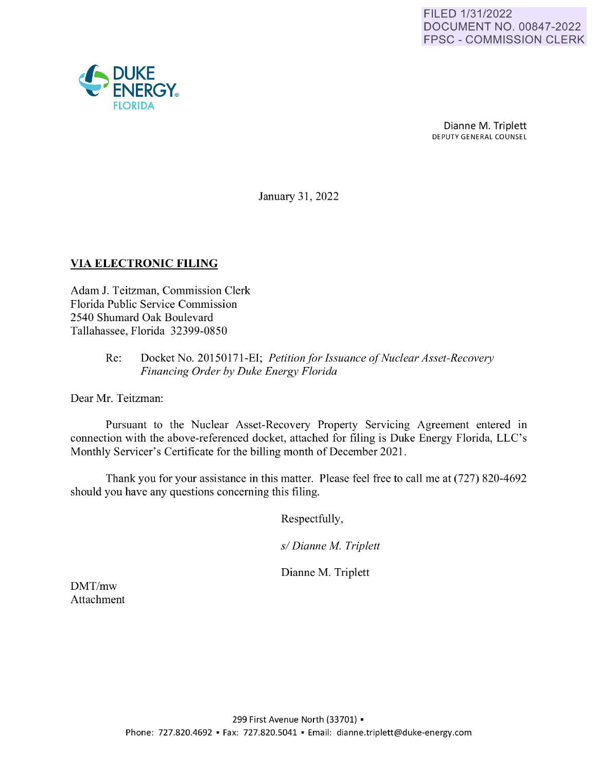

Dianne M. Triplett DEPUTY GENERAL COUNSEL

January 31, 2022

## **VIA ELECTRONIC FILING**

Adam J. Teitzman, Commission Clerk Florida Public Service Commission 2540 Shumard Oak Boulevard Tallahassee, Florida 32399-0850

#### Re: Docket No. 20150171-EI; *Petition for Issuance of Nuclear Asset-Recovery Financing Order by Duke Energy Florida*

Dear Mr. Teitzman:

Pursuant to the Nuclear Asset-Recovery Property Servicing Agreement entered in connection with the above-referenced docket, attached for filing is Duke Energy Florida, LLC's Monthly Servicer's Certificate for the billing month of December 2021.

Thank you for your assistance in this matter. Please feel free to call me at (727) 820-4692 should you have any questions concerning this filing.

Respectfully,

*s/ Dianne M. Triplett* 

Dianne M. Triplett

DMT/mw Attachment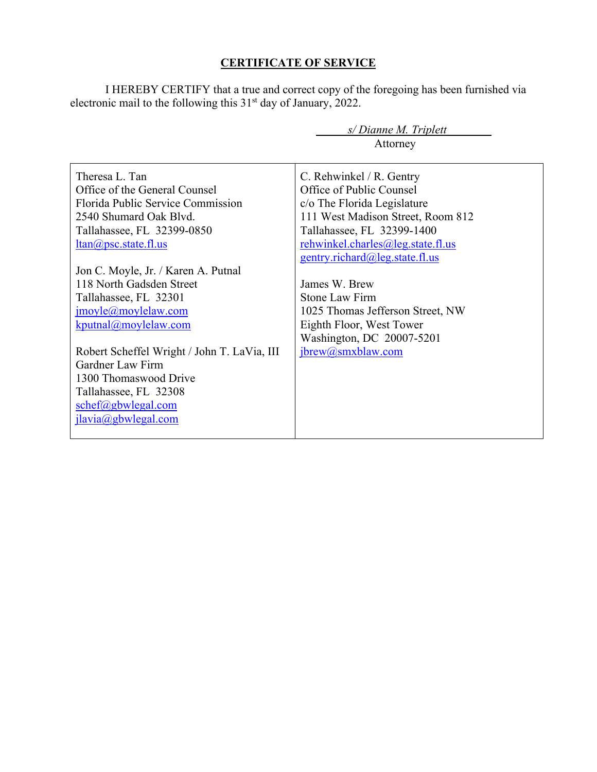#### **CERTIFICATE OF SERVICE**

I HEREBY CERTIFY that a true and correct copy of the foregoing has been furnished via electronic mail to the following this  $31<sup>st</sup>$  day of January, 2022.

|                                             | s/Dianne M. Triplett              |
|---------------------------------------------|-----------------------------------|
|                                             | Attorney                          |
|                                             |                                   |
| Theresa L. Tan                              | C. Rehwinkel / R. Gentry          |
| Office of the General Counsel               | Office of Public Counsel          |
| Florida Public Service Commission           | c/o The Florida Legislature       |
| 2540 Shumard Oak Blvd.                      | 111 West Madison Street, Room 812 |
| Tallahassee, FL 32399-0850                  | Tallahassee, FL 32399-1400        |
| $ltan(a)$ psc.state.fl.us                   | rehwinkel.charles@leg.state.fl.us |
|                                             | gentry.richard@leg.state.fl.us    |
| Jon C. Moyle, Jr. / Karen A. Putnal         |                                   |
| 118 North Gadsden Street                    | James W. Brew                     |
| Tallahassee, FL 32301                       | <b>Stone Law Firm</b>             |
| jmoyle@moylelaw.com                         | 1025 Thomas Jefferson Street, NW  |
| kputnal@moylelaw.com                        | Eighth Floor, West Tower          |
|                                             | Washington, DC 20007-5201         |
| Robert Scheffel Wright / John T. LaVia, III | jbrew@smxblaw.com                 |
| Gardner Law Firm                            |                                   |
| 1300 Thomaswood Drive                       |                                   |
| Tallahassee, FL 32308                       |                                   |
| schef@gbwlegal.com                          |                                   |
| ilavia@gbwlegal.com                         |                                   |
|                                             |                                   |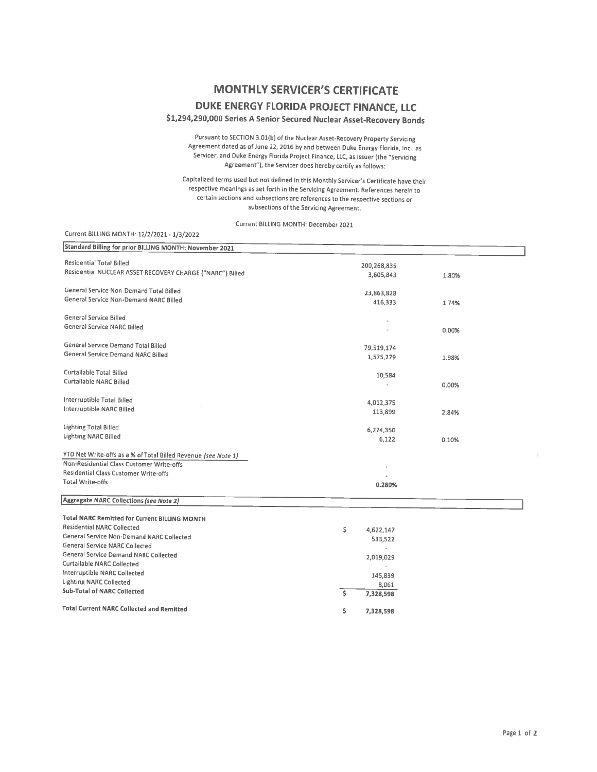# **MONTHLY SERVICER'S CERTIFICATE**

### **DUKE ENERGY FLORIDA PROJECT FINANCE, LLC**

**\$1,294,290,000 Series A Senior Secured Nuclear Asset-Recovery Bonds** 

Pursuant to SECTION 3.0l(b) ot the Nuclear Asset-Recovery Property Servicing Agreement dated as of June 22, 2016 by and between Duke Energy Florida, Inc., as Servicer, and Duke Energy Florida Project Finance, LLC, as Issuer (the "Servicing Agreement"), the Servicer does hereby certify as follows:

Capitalized terms used but not defined in this Monthly Servicer's Certificate have their respective meanings as set forth in the Servicing Agreement. References herein to certain sections and subsections are references to the respective sections or subsections of the Servicing Agreement.

Current BILLING MONTH: December 2021

| Current BILLING MONTH: 12/2/2021 - 1/3/2022                    |                         |       |
|----------------------------------------------------------------|-------------------------|-------|
| Standard Billing for prior BILLING MONTH: November 2021        |                         |       |
| <b>Residential Total Billed</b>                                | 200,268,835             |       |
| Residential NUCLEAR ASSET-RECOVERY CHARGE ("NARC") Billed      | 3,605,843               | 1.80% |
| General Service Non-Demand Total Billed                        | 23,863,828              |       |
| General Service Non-Demand NARC Billed                         | 416,333                 | 1.74% |
| General Service Billed                                         |                         |       |
| General Service NARC Billed                                    |                         | 0.00% |
| General Service Demand Total Billed                            | 79,519,174              |       |
| General Service Demand NARC Billed                             | 1,575,279               | 1.98% |
| Curtailable Total Billed                                       | 10,584                  |       |
| Curtailable NARC Billed                                        |                         | 0.00% |
| Interruptible Total Billed                                     | 4,012,375               |       |
| Interruptible NARC Billed                                      | 113,899                 | 2.84% |
| <b>Lighting Total Billed</b>                                   | 6,274,350               |       |
| <b>Lighting NARC Billed</b>                                    | 6,122                   | 0.10% |
| YTD Net Write-offs as a % of Total Billed Revenue (see Note 1) |                         |       |
| Non-Residential Class Customer Write-offs                      |                         |       |
| Residential Class Customer Write-offs                          |                         |       |
| <b>Total Write-offs</b>                                        | 0.280%                  |       |
| <b>Aggregate NARC Collections (see Note 2)</b>                 |                         |       |
| <b>Total NARC Remitted for Current BILLING MONTH</b>           |                         |       |
| <b>Residential NARC Collected</b>                              | \$<br>4,622,147         |       |
| General Service Non-Demand NARC Collected                      | 533,522                 |       |
| General Service NARC Collected                                 |                         |       |
| General Service Demand NARC Collected                          | 2,019,029               |       |
| <b>Curtailable NARC Collected</b>                              |                         |       |
| Interruptible NARC Collected                                   | 145,839                 |       |
| <b>Lighting NARC Collected</b>                                 |                         |       |
| <b>Sub-Total of NARC Collected</b>                             | 8,061<br>Ś<br>7,328,598 |       |
| <b>Total Current NARC Collected and Remitted</b>               | \$<br>7,328,598         |       |